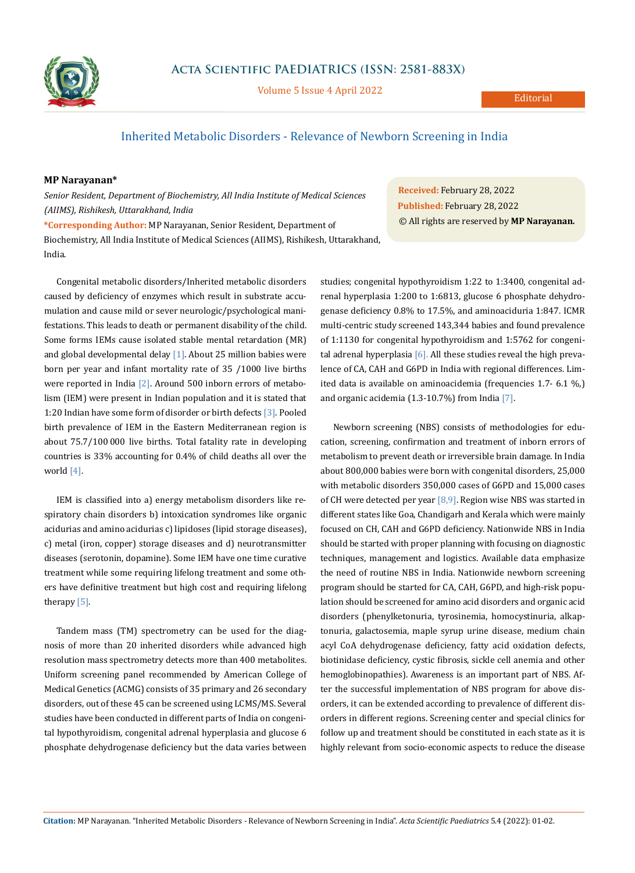

Volume 5 Issue 4 April 2022

## Inherited Metabolic Disorders - Relevance of Newborn Screening in India

## **MP Narayanan\***

*Senior Resident, Department of Biochemistry, All India Institute of Medical Sciences (AIIMS), Rishikesh, Uttarakhand, India*

**\*Corresponding Author:** MP Narayanan, Senior Resident, Department of Biochemistry, All India Institute of Medical Sciences (AIIMS), Rishikesh, Uttarakhand, India.

Congenital metabolic disorders/Inherited metabolic disorders caused by deficiency of enzymes which result in substrate accumulation and cause mild or sever neurologic/psychological manifestations. This leads to death or permanent disability of the child. Some forms IEMs cause isolated stable mental retardation (MR) and global developmental delay [1]. About 25 million babies were born per year and infant mortality rate of 35 /1000 live births were reported in India  $[2]$ . Around 500 inborn errors of metabolism (IEM) were present in Indian population and it is stated that 1:20 Indian have some form of disorder or birth defects [3]. Pooled birth prevalence of IEM in the Eastern Mediterranean region is about 75.7/100 000 live births. Total fatality rate in developing countries is 33% accounting for 0.4% of child deaths all over the world [4].

IEM is classified into a) energy metabolism disorders like respiratory chain disorders b) intoxication syndromes like organic acidurias and amino acidurias c) lipidoses (lipid storage diseases), c) metal (iron, copper) storage diseases and d) neurotransmitter diseases (serotonin, dopamine). Some IEM have one time curative treatment while some requiring lifelong treatment and some others have definitive treatment but high cost and requiring lifelong therapy [5].

Tandem mass (TM) spectrometry can be used for the diagnosis of more than 20 inherited disorders while advanced high resolution mass spectrometry detects more than 400 metabolites. Uniform screening panel recommended by American College of Medical Genetics (ACMG) consists of 35 primary and 26 secondary disorders, out of these 45 can be screened using LCMS/MS. Several studies have been conducted in different parts of India on congenital hypothyroidism, congenital adrenal hyperplasia and glucose 6 phosphate dehydrogenase deficiency but the data varies between **Received:** February 28, 2022 **Published:** February 28, 2022 © All rights are reserved by **MP Narayanan***.*

studies; congenital hypothyroidism 1:22 to 1:3400, congenital adrenal hyperplasia 1:200 to 1:6813, glucose 6 phosphate dehydrogenase deficiency 0.8% to 17.5%, and aminoaciduria 1:847. ICMR multi-centric study screened 143,344 babies and found prevalence of 1:1130 for congenital hypothyroidism and 1:5762 for congenital adrenal hyperplasia  $[6]$ . All these studies reveal the high prevalence of CA, CAH and G6PD in India with regional differences. Limited data is available on aminoacidemia (frequencies 1.7- 6.1 %,) and organic acidemia (1.3-10.7%) from India [7].

Newborn screening (NBS) consists of methodologies for education, screening, confirmation and treatment of inborn errors of metabolism to prevent death or irreversible brain damage. In India about 800,000 babies were born with congenital disorders, 25,000 with metabolic disorders 350,000 cases of G6PD and 15,000 cases of CH were detected per year  $[8,9]$ . Region wise NBS was started in different states like Goa, Chandigarh and Kerala which were mainly focused on CH, CAH and G6PD deficiency. Nationwide NBS in India should be started with proper planning with focusing on diagnostic techniques, management and logistics. Available data emphasize the need of routine NBS in India. Nationwide newborn screening program should be started for CA, CAH, G6PD, and high-risk population should be screened for amino acid disorders and organic acid disorders (phenylketonuria, tyrosinemia, homocystinuria, alkaptonuria, galactosemia, maple syrup urine disease, medium chain acyl CoA dehydrogenase deficiency, fatty acid oxidation defects, biotinidase deficiency, cystic fibrosis, sickle cell anemia and other hemoglobinopathies). Awareness is an important part of NBS. After the successful implementation of NBS program for above disorders, it can be extended according to prevalence of different disorders in different regions. Screening center and special clinics for follow up and treatment should be constituted in each state as it is highly relevant from socio-economic aspects to reduce the disease